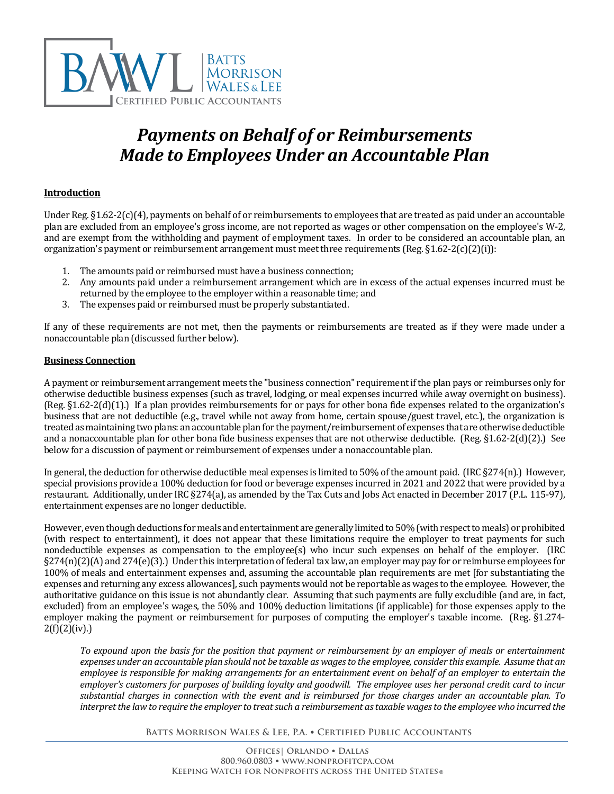

# *Payments on Behalf of or Reimbursements Made to Employees Under an Accountable Plan*

## **Introduction**

Under Reg. §1.62-2(c)(4), payments on behalf of or reimbursements to employees that are treated as paid under an accountable plan are excluded from an employee's gross income, are not reported as wages or other compensation on the employee's W-2, and are exempt from the withholding and payment of employment taxes. In order to be considered an accountable plan, an organization's payment or reimbursement arrangement must meet three requirements (Reg. §1.62-2(c)(2)(i)):

- 1. The amounts paid or reimbursed must have a business connection;
- 2. Any amounts paid under a reimbursement arrangement which are in excess of the actual expenses incurred must be returned by the employee to the employer within a reasonable time; and
- 3. The expenses paid or reimbursed must be properly substantiated.

If any of these requirements are not met, then the payments or reimbursements are treated as if they were made under a nonaccountable plan (discussed further below).

#### **Business Connection**

A payment or reimbursement arrangement meets the "business connection" requirement if the plan pays or reimburses only for otherwise deductible business expenses (such as travel, lodging, or meal expenses incurred while away overnight on business). (Reg. §1.62-2(d)(1).) If a plan provides reimbursements for or pays for other bona fide expenses related to the organization's business that are not deductible (e.g., travel while not away from home, certain spouse/guest travel, etc.), the organization is treated as maintaining two plans: an accountable plan for the payment/reimbursement of expenses that are otherwise deductible and a nonaccountable plan for other bona fide business expenses that are not otherwise deductible. (Reg. §1.62-2(d)(2).) See below for a discussion of payment or reimbursement of expenses under a nonaccountable plan.

In general, the deduction for otherwise deductible meal expenses is limited to 50% of the amount paid. (IRC §274(n).) However, special provisions provide a 100% deduction for food or beverage expenses incurred in 2021 and 2022 that were provided by a restaurant. Additionally, under IRC §274(a), as amended by the Tax Cuts and Jobs Act enacted in December 2017 (P.L. 115-97), entertainment expenses are no longer deductible.

However, even though deductions for meals and entertainment are generally limited to 50% (with respect to meals) or prohibited (with respect to entertainment), it does not appear that these limitations require the employer to treat payments for such nondeductible expenses as compensation to the employee(s) who incur such expenses on behalf of the employer. (IRC  $\S274(n)(2)(A)$  and  $274(e)(3)$ .) Under this interpretation of federal tax law, an employer may pay for or reimburse employees for 100% of meals and entertainment expenses and, assuming the accountable plan requirements are met [for substantiating the expenses and returning any excess allowances], such payments would not be reportable as wages to the employee. However, the authoritative guidance on this issue is not abundantly clear. Assuming that such payments are fully excludible (and are, in fact, excluded) from an employee's wages, the 50% and 100% deduction limitations (if applicable) for those expenses apply to the employer making the payment or reimbursement for purposes of computing the employer's taxable income. (Reg. §1.274-  $2(f)(2)(iv).$ 

*To expound upon the basis for the position that payment or reimbursement by an employer of meals or entertainment expenses under an accountable plan should not be taxable as wages to the employee, consider this example. Assume that an employee is responsible for making arrangements for an entertainment event on behalf of an employer to entertain the employer's customers for purposes of building loyalty and goodwill. The employee uses her personal credit card to incur substantial charges in connection with the event and is reimbursed for those charges under an accountable plan. To interpret the law to require the employer to treat such a reimbursement as taxable wages to the employee who incurred the*

**Batts Morrison Wales & Lee, P.A.** • **Certified Public Accountants**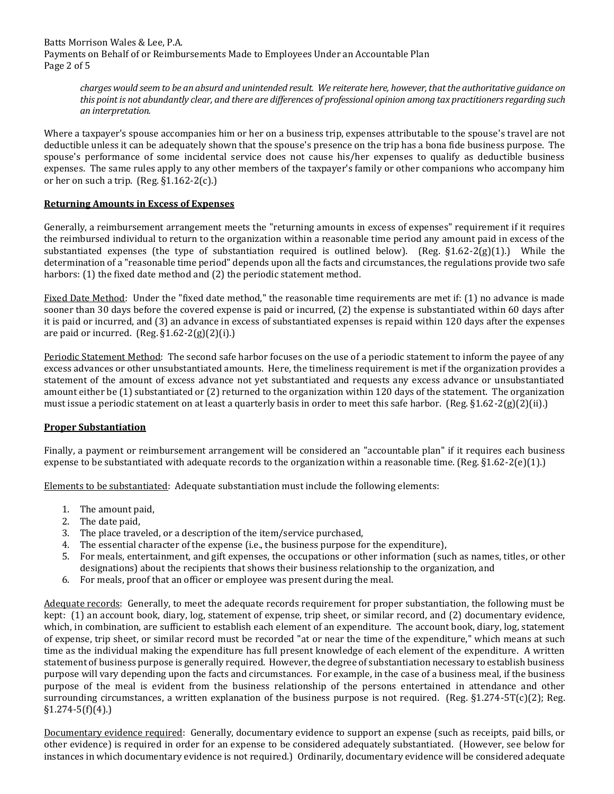Batts Morrison Wales & Lee, P.A. Payments on Behalf of or Reimbursements Made to Employees Under an Accountable Plan Page 2 of 5

*charges would seem to be an absurd and unintended result. We reiterate here, however, that the authoritative guidance on this point is not abundantly clear, and there are differences of professional opinion among tax practitioners regarding such an interpretation.* 

Where a taxpayer's spouse accompanies him or her on a business trip, expenses attributable to the spouse's travel are not deductible unless it can be adequately shown that the spouse's presence on the trip has a bona fide business purpose. The spouse's performance of some incidental service does not cause his/her expenses to qualify as deductible business expenses. The same rules apply to any other members of the taxpayer's family or other companions who accompany him or her on such a trip. (Reg. §1.162-2(c).)

#### **Returning Amounts in Excess of Expenses**

Generally, a reimbursement arrangement meets the "returning amounts in excess of expenses" requirement if it requires the reimbursed individual to return to the organization within a reasonable time period any amount paid in excess of the substantiated expenses (the type of substantiation required is outlined below). (Reg.  $\S1.62-2(g)(1)$ .) While the determination of a "reasonable time period" depends upon all the facts and circumstances, the regulations provide two safe harbors: (1) the fixed date method and (2) the periodic statement method.

Fixed Date Method: Under the "fixed date method," the reasonable time requirements are met if: (1) no advance is made sooner than 30 days before the covered expense is paid or incurred, (2) the expense is substantiated within 60 days after it is paid or incurred, and (3) an advance in excess of substantiated expenses is repaid within 120 days after the expenses are paid or incurred. (Reg.  $\S1.62-2(g)(2)(i)$ .)

Periodic Statement Method: The second safe harbor focuses on the use of a periodic statement to inform the payee of any excess advances or other unsubstantiated amounts. Here, the timeliness requirement is met if the organization provides a statement of the amount of excess advance not yet substantiated and requests any excess advance or unsubstantiated amount either be (1) substantiated or (2) returned to the organization within 120 days of the statement. The organization must issue a periodic statement on at least a quarterly basis in order to meet this safe harbor. (Reg. §1.62-2(g)(2)(ii).)

## **Proper Substantiation**

Finally, a payment or reimbursement arrangement will be considered an "accountable plan" if it requires each business expense to be substantiated with adequate records to the organization within a reasonable time. (Reg.  $\S 1.62-2(e)(1)$ .)

Elements to be substantiated: Adequate substantiation must include the following elements:

- 1. The amount paid,
- 2. The date paid,
- 3. The place traveled, or a description of the item/service purchased,
- 4. The essential character of the expense (i.e., the business purpose for the expenditure),
- 5. For meals, entertainment, and gift expenses, the occupations or other information (such as names, titles, or other designations) about the recipients that shows their business relationship to the organization, and
- 6. For meals, proof that an officer or employee was present during the meal.

Adequate records: Generally, to meet the adequate records requirement for proper substantiation, the following must be kept: (1) an account book, diary, log, statement of expense, trip sheet, or similar record, and (2) documentary evidence, which, in combination, are sufficient to establish each element of an expenditure. The account book, diary, log, statement of expense, trip sheet, or similar record must be recorded "at or near the time of the expenditure," which means at such time as the individual making the expenditure has full present knowledge of each element of the expenditure. A written statement of business purpose is generally required. However, the degree of substantiation necessary to establish business purpose will vary depending upon the facts and circumstances. For example, in the case of a business meal, if the business purpose of the meal is evident from the business relationship of the persons entertained in attendance and other surrounding circumstances, a written explanation of the business purpose is not required. (Reg.  $\S1.274-5T(c)(2)$ ; Reg.  $§1.274-5(f)(4).$ 

Documentary evidence required: Generally, documentary evidence to support an expense (such as receipts, paid bills, or other evidence) is required in order for an expense to be considered adequately substantiated. (However, see below for instances in which documentary evidence is not required.) Ordinarily, documentary evidence will be considered adequate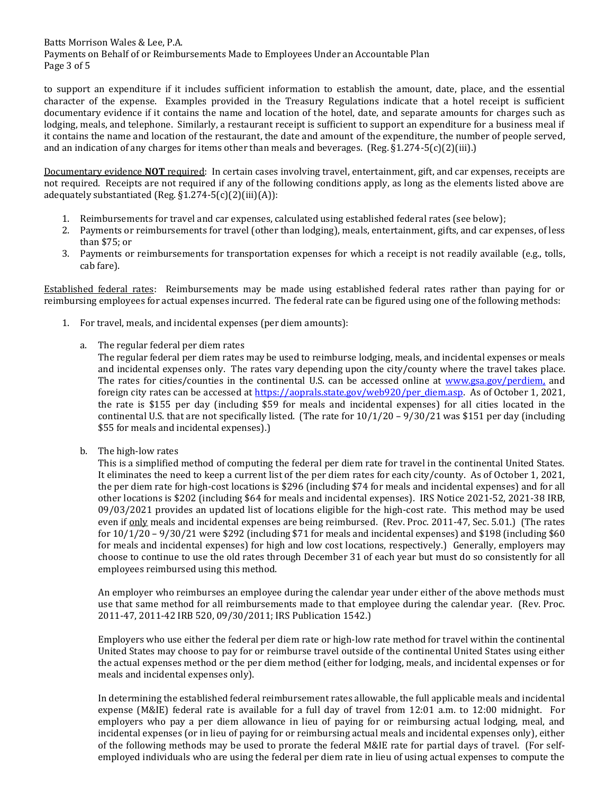Batts Morrison Wales & Lee, P.A. Payments on Behalf of or Reimbursements Made to Employees Under an Accountable Plan Page 3 of 5

to support an expenditure if it includes sufficient information to establish the amount, date, place, and the essential character of the expense. Examples provided in the Treasury Regulations indicate that a hotel receipt is sufficient documentary evidence if it contains the name and location of the hotel, date, and separate amounts for charges such as lodging, meals, and telephone. Similarly, a restaurant receipt is sufficient to support an expenditure for a business meal if it contains the name and location of the restaurant, the date and amount of the expenditure, the number of people served, and an indication of any charges for items other than meals and beverages. (Reg. §1.274-5(c)(2)(iii).)

Documentary evidence **NOT** required: In certain cases involving travel, entertainment, gift, and car expenses, receipts are not required. Receipts are not required if any of the following conditions apply, as long as the elements listed above are adequately substantiated (Reg.  $\S1.274 - 5(c)(2)(iii)(A)$ ):

- 1. Reimbursements for travel and car expenses, calculated using established federal rates (see below);
- 2. Payments or reimbursements for travel (other than lodging), meals, entertainment, gifts, and car expenses, of less than \$75; or
- 3. Payments or reimbursements for transportation expenses for which a receipt is not readily available (e.g., tolls, cab fare).

Established federal rates: Reimbursements may be made using established federal rates rather than paying for or reimbursing employees for actual expenses incurred. The federal rate can be figured using one of the following methods:

- 1. For travel, meals, and incidental expenses (per diem amounts):
	- a. The regular federal per diem rates

The regular federal per diem rates may be used to reimburse lodging, meals, and incidental expenses or meals and incidental expenses only. The rates vary depending upon the city/county where the travel takes place. The rates for cities/counties in the continental U.S. can be accessed online at [www.gsa.gov/perdiem,](http://www.gsa.gov/perdiem) and foreign city rates can be accessed at [https://aoprals.state.gov/web920/per\\_diem.asp.](https://aoprals.state.gov/web920/per_diem.asp) As of October 1, 2021, the rate is \$155 per day (including \$59 for meals and incidental expenses) for all cities located in the continental U.S. that are not specifically listed. (The rate for  $10/1/20 - 9/30/21$  was \$151 per day (including \$55 for meals and incidental expenses).)

b. The high-low rates

This is a simplified method of computing the federal per diem rate for travel in the continental United States. It eliminates the need to keep a current list of the per diem rates for each city/county. As of October 1, 2021, the per diem rate for high-cost locations is \$296 (including \$74 for meals and incidental expenses) and for all other locations is \$202 (including \$64 for meals and incidental expenses). IRS Notice 2021-52, 2021-38 IRB, 09/03/2021 provides an updated list of locations eligible for the high-cost rate. This method may be used even if only meals and incidental expenses are being reimbursed. (Rev. Proc. 2011-47, Sec. 5.01.) (The rates for  $10/1/20 - 9/30/21$  were \$292 (including \$71 for meals and incidental expenses) and \$198 (including \$60 for meals and incidental expenses) for high and low cost locations, respectively.) Generally, employers may choose to continue to use the old rates through December 31 of each year but must do so consistently for all employees reimbursed using this method.

An employer who reimburses an employee during the calendar year under either of the above methods must use that same method for all reimbursements made to that employee during the calendar year. (Rev. Proc. 2011-47, 2011-42 IRB 520, 09/30/2011; IRS Publication 1542.)

Employers who use either the federal per diem rate or high-low rate method for travel within the continental United States may choose to pay for or reimburse travel outside of the continental United States using either the actual expenses method or the per diem method (either for lodging, meals, and incidental expenses or for meals and incidental expenses only).

In determining the established federal reimbursement rates allowable, the full applicable meals and incidental expense (M&IE) federal rate is available for a full day of travel from 12:01 a.m. to 12:00 midnight. For employers who pay a per diem allowance in lieu of paying for or reimbursing actual lodging, meal, and incidental expenses (or in lieu of paying for or reimbursing actual meals and incidental expenses only), either of the following methods may be used to prorate the federal M&IE rate for partial days of travel. (For selfemployed individuals who are using the federal per diem rate in lieu of using actual expenses to compute the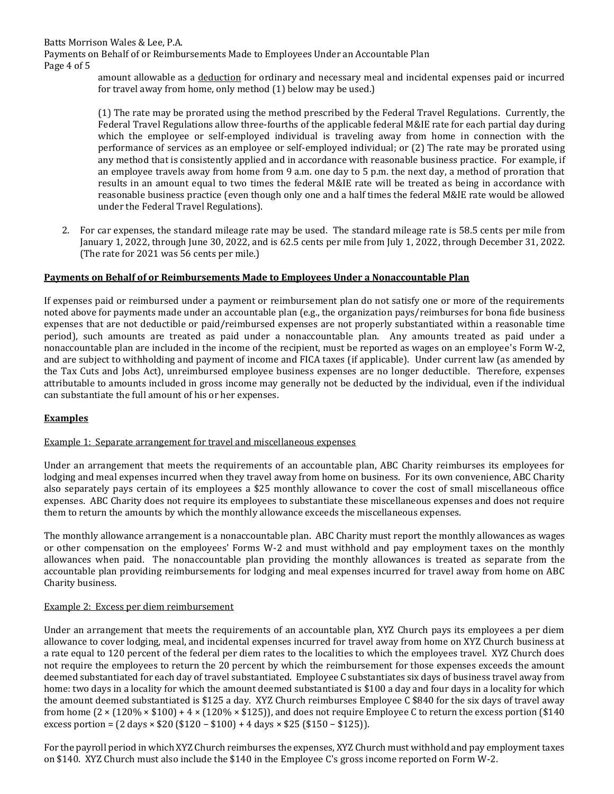Batts Morrison Wales & Lee, P.A.

Payments on Behalf of or Reimbursements Made to Employees Under an Accountable Plan Page 4 of 5

> amount allowable as a deduction for ordinary and necessary meal and incidental expenses paid or incurred for travel away from home, only method (1) below may be used.)

> (1) The rate may be prorated using the method prescribed by the Federal Travel Regulations. Currently, the Federal Travel Regulations allow three-fourths of the applicable federal M&IE rate for each partial day during which the employee or self-employed individual is traveling away from home in connection with the performance of services as an employee or self-employed individual; or (2) The rate may be prorated using any method that is consistently applied and in accordance with reasonable business practice. For example, if an employee travels away from home from 9 a.m. one day to 5 p.m. the next day, a method of proration that results in an amount equal to two times the federal M&IE rate will be treated as being in accordance with reasonable business practice (even though only one and a half times the federal M&IE rate would be allowed under the Federal Travel Regulations).

2. For car expenses, the standard mileage rate may be used. The standard mileage rate is 58.5 cents per mile from January 1, 2022, through June 30, 2022, and is 62.5 cents per mile from July 1, 2022, through December 31, 2022. (The rate for 2021 was 56 cents per mile.)

## **Payments on Behalf of or Reimbursements Made to Employees Under a Nonaccountable Plan**

If expenses paid or reimbursed under a payment or reimbursement plan do not satisfy one or more of the requirements noted above for payments made under an accountable plan (e.g., the organization pays/reimburses for bona fide business expenses that are not deductible or paid/reimbursed expenses are not properly substantiated within a reasonable time period), such amounts are treated as paid under a nonaccountable plan. Any amounts treated as paid under a nonaccountable plan are included in the income of the recipient, must be reported as wages on an employee's Form W-2, and are subject to withholding and payment of income and FICA taxes (if applicable). Under current law (as amended by the Tax Cuts and Jobs Act), unreimbursed employee business expenses are no longer deductible. Therefore, expenses attributable to amounts included in gross income may generally not be deducted by the individual, even if the individual can substantiate the full amount of his or her expenses.

## **Examples**

## Example 1: Separate arrangement for travel and miscellaneous expenses

Under an arrangement that meets the requirements of an accountable plan, ABC Charity reimburses its employees for lodging and meal expenses incurred when they travel away from home on business. For its own convenience, ABC Charity also separately pays certain of its employees a \$25 monthly allowance to cover the cost of small miscellaneous office expenses. ABC Charity does not require its employees to substantiate these miscellaneous expenses and does not require them to return the amounts by which the monthly allowance exceeds the miscellaneous expenses.

The monthly allowance arrangement is a nonaccountable plan. ABC Charity must report the monthly allowances as wages or other compensation on the employees' Forms W-2 and must withhold and pay employment taxes on the monthly allowances when paid. The nonaccountable plan providing the monthly allowances is treated as separate from the accountable plan providing reimbursements for lodging and meal expenses incurred for travel away from home on ABC Charity business.

## Example 2: Excess per diem reimbursement

Under an arrangement that meets the requirements of an accountable plan, XYZ Church pays its employees a per diem allowance to cover lodging, meal, and incidental expenses incurred for travel away from home on XYZ Church business at a rate equal to 120 percent of the federal per diem rates to the localities to which the employees travel. XYZ Church does not require the employees to return the 20 percent by which the reimbursement for those expenses exceeds the amount deemed substantiated for each day of travel substantiated. Employee C substantiates six days of business travel away from home: two days in a locality for which the amount deemed substantiated is \$100 a day and four days in a locality for which the amount deemed substantiated is \$125 a day. XYZ Church reimburses Employee C \$840 for the six days of travel away from home  $(2 \times (120\% \times $100) + 4 \times (120\% \times $125))$ , and does not require Employee C to return the excess portion (\$140) excess portion = (2 days × \$20 (\$120 − \$100) + 4 days × \$25 (\$150 − \$125)).

For the payroll period in which XYZ Church reimburses the expenses, XYZ Church must withhold and pay employment taxes on \$140. XYZ Church must also include the \$140 in the Employee C's gross income reported on Form W-2.